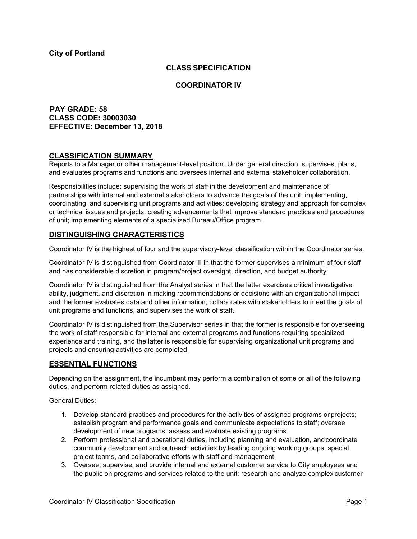## **CLASS SPECIFICATION**

### **COORDINATOR IV**

## **PAY GRADE: 58 CLASS CODE: 30003030 EFFECTIVE: December 13, 2018**

## **CLASSIFICATION SUMMARY**

Reports to a Manager or other management-level position. Under general direction, supervises, plans, and evaluates programs and functions and oversees internal and external stakeholder collaboration.

Responsibilities include: supervising the work of staff in the development and maintenance of partnerships with internal and external stakeholders to advance the goals of the unit; implementing, coordinating, and supervising unit programs and activities; developing strategy and approach for complex or technical issues and projects; creating advancements that improve standard practices and procedures of unit; implementing elements of a specialized Bureau/Office program.

### **DISTINGUISHING CHARACTERISTICS**

Coordinator IV is the highest of four and the supervisory-level classification within the Coordinator series.

Coordinator IV is distinguished from Coordinator III in that the former supervises a minimum of four staff and has considerable discretion in program/project oversight, direction, and budget authority.

Coordinator IV is distinguished from the Analyst series in that the latter exercises critical investigative ability, judgment, and discretion in making recommendations or decisions with an organizational impact and the former evaluates data and other information, collaborates with stakeholders to meet the goals of unit programs and functions, and supervises the work of staff*.*

Coordinator IV is distinguished from the Supervisor series in that the former is responsible for overseeing the work of staff responsible for internal and external programs and functions requiring specialized experience and training, and the latter is responsible for supervising organizational unit programs and projects and ensuring activities are completed.

## **ESSENTIAL FUNCTIONS**

Depending on the assignment, the incumbent may perform a combination of some or all of the following duties, and perform related duties as assigned.

General Duties:

- 1. Develop standard practices and procedures for the activities of assigned programs or projects; establish program and performance goals and communicate expectations to staff; oversee development of new programs; assess and evaluate existing programs.
- 2. Perform professional and operational duties, including planning and evaluation, andcoordinate community development and outreach activities by leading ongoing working groups, special project teams, and collaborative efforts with staff and management.
- 3. Oversee, supervise, and provide internal and external customer service to City employees and the public on programs and services related to the unit; research and analyze complex customer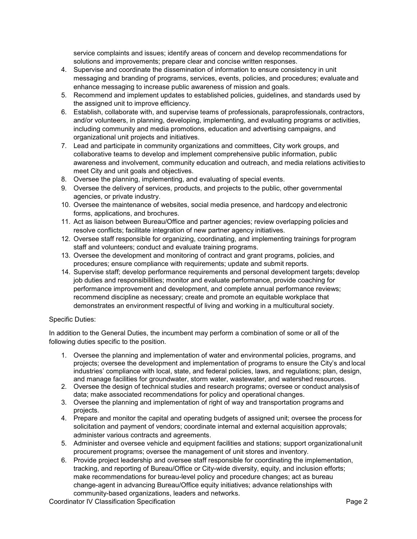service complaints and issues; identify areas of concern and develop recommendations for solutions and improvements; prepare clear and concise written responses.

- 4. Supervise and coordinate the dissemination of information to ensure consistency in unit messaging and branding of programs, services, events, policies, and procedures; evaluate and enhance messaging to increase public awareness of mission and goals.
- 5. Recommend and implement updates to established policies, guidelines, and standards used by the assigned unit to improve efficiency.
- 6. Establish, collaborate with, and supervise teams of professionals, paraprofessionals, contractors, and/or volunteers, in planning, developing, implementing, and evaluating programs or activities, including community and media promotions, education and advertising campaigns, and organizational unit projects and initiatives.
- 7. Lead and participate in community organizations and committees, City work groups, and collaborative teams to develop and implement comprehensive public information, public awareness and involvement, community education and outreach, and media relations activities to meet City and unit goals and objectives.
- 8. Oversee the planning, implementing, and evaluating of special events.
- 9. Oversee the delivery of services, products, and projects to the public, other governmental agencies, or private industry.
- 10. Oversee the maintenance of websites, social media presence, and hardcopy and electronic forms, applications, and brochures.
- 11. Act as liaison between Bureau/Office and partner agencies; review overlapping policies and resolve conflicts; facilitate integration of new partner agency initiatives.
- 12. Oversee staff responsible for organizing, coordinating, and implementing trainings for program staff and volunteers; conduct and evaluate training programs.
- 13. Oversee the development and monitoring of contract and grant programs, policies, and procedures; ensure compliance with requirements; update and submit reports.
- 14. Supervise staff; develop performance requirements and personal development targets; develop job duties and responsibilities; monitor and evaluate performance, provide coaching for performance improvement and development, and complete annual performance reviews; recommend discipline as necessary; create and promote an equitable workplace that demonstrates an environment respectful of living and working in a multicultural society.

#### Specific Duties:

In addition to the General Duties, the incumbent may perform a combination of some or all of the following duties specific to the position.

- 1. Oversee the planning and implementation of water and environmental policies, programs, and projects; oversee the development and implementation of programs to ensure the City's and local industries' compliance with local, state, and federal policies, laws, and regulations; plan, design, and manage facilities for groundwater, storm water, wastewater, and watershed resources.
- 2. Oversee the design of technical studies and research programs; oversee or conduct analysisof data; make associated recommendations for policy and operational changes.
- 3. Oversee the planning and implementation of right of way and transportation programs and projects.
- 4. Prepare and monitor the capital and operating budgets of assigned unit; oversee the process for solicitation and payment of vendors; coordinate internal and external acquisition approvals; administer various contracts and agreements.
- 5. Administer and oversee vehicle and equipment facilities and stations; support organizationalunit procurement programs; oversee the management of unit stores and inventory.
- 6. Provide project leadership and oversee staff responsible for coordinating the implementation, tracking, and reporting of Bureau/Office or City-wide diversity, equity, and inclusion efforts; make recommendations for bureau-level policy and procedure changes; act as bureau change-agent in advancing Bureau/Office equity initiatives; advance relationships with community-based organizations, leaders and networks.

Coordinator IV Classification Specification **Page 2** and 2001 12 and 2008 2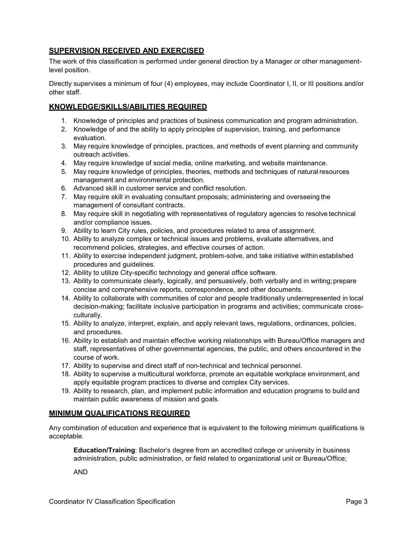# **SUPERVISION RECEIVED AND EXERCISED**

The work of this classification is performed under general direction by a Manager or other managementlevel position.

Directly supervises a minimum of four (4) employees, may include Coordinator I, II, or III positions and/or other staff.

# **KNOWLEDGE/SKILLS/ABILITIES REQUIRED**

- 1. Knowledge of principles and practices of business communication and program administration.
- 2. Knowledge of and the ability to apply principles of supervision, training, and performance evaluation.
- 3. May require knowledge of principles, practices, and methods of event planning and community outreach activities.
- 4. May require knowledge of social media, online marketing, and website maintenance.
- 5. May require knowledge of principles, theories, methods and techniques of natural resources management and environmental protection.
- 6. Advanced skill in customer service and conflict resolution.
- 7. May require skill in evaluating consultant proposals; administering and overseeing the management of consultant contracts.
- 8. May require skill in negotiating with representatives of regulatory agencies to resolve technical and/or compliance issues.
- 9. Ability to learn City rules, policies, and procedures related to area of assignment.
- 10. Ability to analyze complex or technical issues and problems, evaluate alternatives, and recommend policies, strategies, and effective courses of action.
- 11. Ability to exercise independent judgment, problem-solve, and take initiative within established procedures and guidelines.
- 12. Ability to utilize City-specific technology and general office software.
- 13. Ability to communicate clearly, logically, and persuasively, both verbally and in writing;prepare concise and comprehensive reports, correspondence, and other documents.
- 14. Ability to collaborate with communities of color and people traditionally underrepresented in local decision-making; facilitate inclusive participation in programs and activities; communicate crossculturally.
- 15. Ability to analyze, interpret, explain, and apply relevant laws, regulations, ordinances, policies, and procedures.
- 16. Ability to establish and maintain effective working relationships with Bureau/Office managers and staff, representatives of other governmental agencies, the public, and others encountered in the course of work.
- 17. Ability to supervise and direct staff of non-technical and technical personnel.
- 18. Ability to supervise a multicultural workforce, promote an equitable workplace environment, and apply equitable program practices to diverse and complex City services.
- 19. Ability to research, plan, and implement public information and education programs to build and maintain public awareness of mission and goals.

## **MINIMUM QUALIFICATIONS REQUIRED**

Any combination of education and experience that is equivalent to the following minimum qualifications is acceptable.

**Education/Training**: Bachelor's degree from an accredited college or university in business administration, public administration, or field related to organizational unit or Bureau/Office;

AND